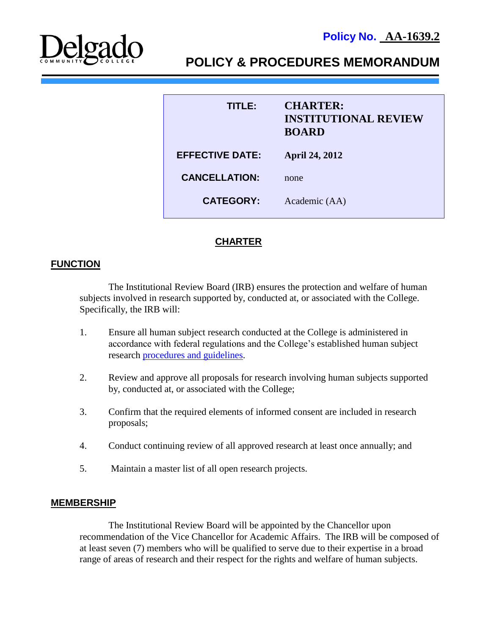

# **POLICY & PROCEDURES MEMORANDUM**

| TITLER                 | <b>CHARTER:</b><br><b>INSTITUTIONAL REVIEW</b><br><b>BOARD</b> |
|------------------------|----------------------------------------------------------------|
| <b>EFFECTIVE DATE:</b> | <b>April 24, 2012</b>                                          |
| <b>CANCELLATION:</b>   | none                                                           |
| <b>CATEGORY:</b>       | Academic (AA)                                                  |

# **CHARTER**

## **FUNCTION**

The Institutional Review Board (IRB) ensures the protection and welfare of human subjects involved in research supported by, conducted at, or associated with the College. Specifically, the IRB will:

- 1. Ensure all human subject research conducted at the College is administered in accordance with federal regulations and the College's established human subject research [procedures and guidelines.](http://docushare3.dcc.edu/docushare/dsweb/Get/Document-5469)
- 2. Review and approve all proposals for research involving human subjects supported by, conducted at, or associated with the College;
- 3. Confirm that the required elements of informed consent are included in research proposals;
- 4. Conduct continuing review of all approved research at least once annually; and
- 5. Maintain a master list of all open research projects.

#### **MEMBERSHIP**

The Institutional Review Board will be appointed by the Chancellor upon recommendation of the Vice Chancellor for Academic Affairs. The IRB will be composed of at least seven (7) members who will be qualified to serve due to their expertise in a broad range of areas of research and their respect for the rights and welfare of human subjects.